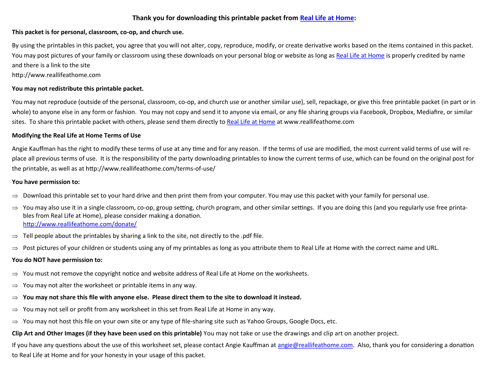### **Thank you for downloading this printable packet from [Real Life at Home:](http://www.reallifeathome.com/)**

#### **This packet is for personal, classroom, co-op, and church use.**

By using the printables in this packet, you agree that you will not alter, copy, reproduce, modify, or create derivative works based on the items contained in this packet. You may post pictures of your family or classroom using these downloads on your personal blog or website as long as [Real Life at Home](http://www.reallifeathome.com/) is properly credited by name and there is a link to the site

#### http://www.reallifeathome.com

#### **You may not redistribute this printable packet.**

You may not reproduce (outside of the personal, classroom, co-op, and church use or another similar use), sell, repackage, or give this free printable packet (in part or in whole) to anyone else in any form or fashion. You may not copy and send it to anyone via email, or any file sharing groups via Facebook, Dropbox, Mediafire, or similar sites. To share this printable packet with others, please send them directly to [Real Life at Home](http://www.reallifeathome.com/) at www.reallifeathome.com

#### **Modifying the Real Life at Home Terms of Use**

Angie Kauffman has the right to modify these terms of use at any time and for any reason. If the terms of use are modified, the most current valid terms of use will replace all previous terms of use. It is the responsibility of the party downloading printables to know the current terms of use, which can be found on the original post for the printable, as well as at http://www.reallifeathome.com/terms-of-use/

#### **You have permission to:**

- $\Rightarrow$  Download this printable set to your hard drive and then print them from your computer. You may use this packet with your family for personal use.
- $\Rightarrow$  You may also use it in a single classroom, co-op, group setting, church program, and other similar settings. If you are doing this (and you regularly use free printables from Real Life at Home), please consider making a donation. <http://www.reallifeathome.com/donate/>
- $\Rightarrow$  Tell people about the printables by sharing a link to the site, not directly to the .pdf file.
- $\Rightarrow$  Post pictures of your children or students using any of my printables as long as you attribute them to Real Life at Home with the correct name and URL.

#### **You do NOT have permission to:**

- $\Rightarrow$  You must not remove the copyright notice and website address of Real Life at Home on the worksheets.
- $\Rightarrow$  You may not alter the worksheet or printable items in any way.
- $\Rightarrow$  You may not share this file with anyone else. Please direct them to the site to download it instead.
- $\Rightarrow$  You may not sell or profit from any worksheet in this set from Real Life at Home in any way.
- $\Rightarrow$  You may not host this file on your own site or any type of file-sharing site such as Yahoo Groups, Google Docs, etc.

## **Clip Art and Other Images (if they have been used on this printable)** You may not take or use the drawings and clip art on another project.

If you have any questions about the use of this worksheet set, please contact Angie Kauffman at [angie@reallifeathome.com.](mailto:angie@reallifeathome.com) Also, thank you for considering a donation to Real Life at Home and for your honesty in your usage of this packet.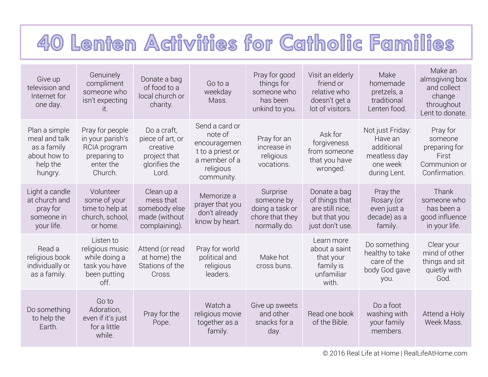## 40 Lenten Activities for Catholic Families

| Give up<br>television and<br>Internet for<br>one day.                                | Genuinely<br>compliment<br>someone who<br>isn't expecting<br>It.                            | Donate a bag<br>of food to a<br>local church or<br>charity.                           | Go to a<br>weekday<br>Mass.                                                                               | Pray for good<br>things for<br>someone who<br>has been<br>unkind to you.     | Visit an elderly<br>friend or<br>relative who<br>doesn't get a<br>lot of visitors.   | Make<br>homemade<br>pretzels, a<br>traditional<br>Lenten food.                        | Make an<br>almsgiving box<br>and collect<br>change<br>throughout<br>Lent to donate. |
|--------------------------------------------------------------------------------------|---------------------------------------------------------------------------------------------|---------------------------------------------------------------------------------------|-----------------------------------------------------------------------------------------------------------|------------------------------------------------------------------------------|--------------------------------------------------------------------------------------|---------------------------------------------------------------------------------------|-------------------------------------------------------------------------------------|
| Plan a simple<br>meal and talk<br>as a family<br>about how to<br>help the<br>hungry. | Pray for people<br>in your parish's<br>RCIA program<br>preparing to<br>enter the<br>Church. | Do a craft,<br>piece of art, or<br>creative<br>project that<br>glorifies the<br>Lord. | Send a card or<br>note of<br>encouragemen<br>t to a priest or<br>a member of a<br>religious<br>community. | Pray for an<br>increase in<br>religious<br>vocations.                        | Ask for<br>forgiveness<br>from someone<br>that you have<br>wronged.                  | Not just Friday:<br>Have an<br>additional<br>meatless day<br>one week<br>during Lent. | Pray for<br>someone<br>preparing for<br>First<br>Communion or<br>Confirmation.      |
| Light a candle<br>at church and<br>pray for<br>someone in<br>your life.              | Volunteer<br>some of your<br>time to help at<br>church, school,<br>or home.                 | Clean up a<br>mess that<br>somebody else<br>made (without<br>complaining).            | Memorize a<br>prayer that you<br>don't already<br>know by heart.                                          | Surprise<br>someone by<br>doing a task or<br>chore that they<br>normally do. | Donate a bag<br>of things that<br>are still nice,<br>but that you<br>just don't use. | Pray the<br>Rosary (or<br>even just a<br>decade) as a<br>family.                      | Thank<br>someone who<br>has been a<br>good influence<br>in your life.               |
| Read a<br>religious book<br>individually or<br>as a family.                          | Listen to<br>religious music<br>while doing a<br>task you have<br>been putting<br>off.      | Attend (or read<br>at home) the<br>Stations of the<br>Cross.                          | Pray for world<br>political and<br>religious<br>leaders.                                                  | Make hot<br>cross buns.                                                      | Learn more<br>about a saint<br>that your<br>family is<br>unfamiliar<br>with.         | Do something<br>healthy to take<br>care of the<br>body God gave<br>you.               | Clear your<br>mind of other<br>things and sit<br>quietly with<br>God.               |
| Do something<br>to help the<br>Earth.                                                | Go to<br>Adoration,<br>even if it's just<br>for a little<br>while.                          | Pray for the<br>Pope.                                                                 | Watch a<br>religious movie<br>together as a<br>family.                                                    | Give up sweets<br>and other<br>snacks for a<br>day.                          | Read one book<br>of the Bible.                                                       | Do a foot<br>washing with<br>your family<br>members.                                  | Attend a Holy<br>Week Mass.                                                         |